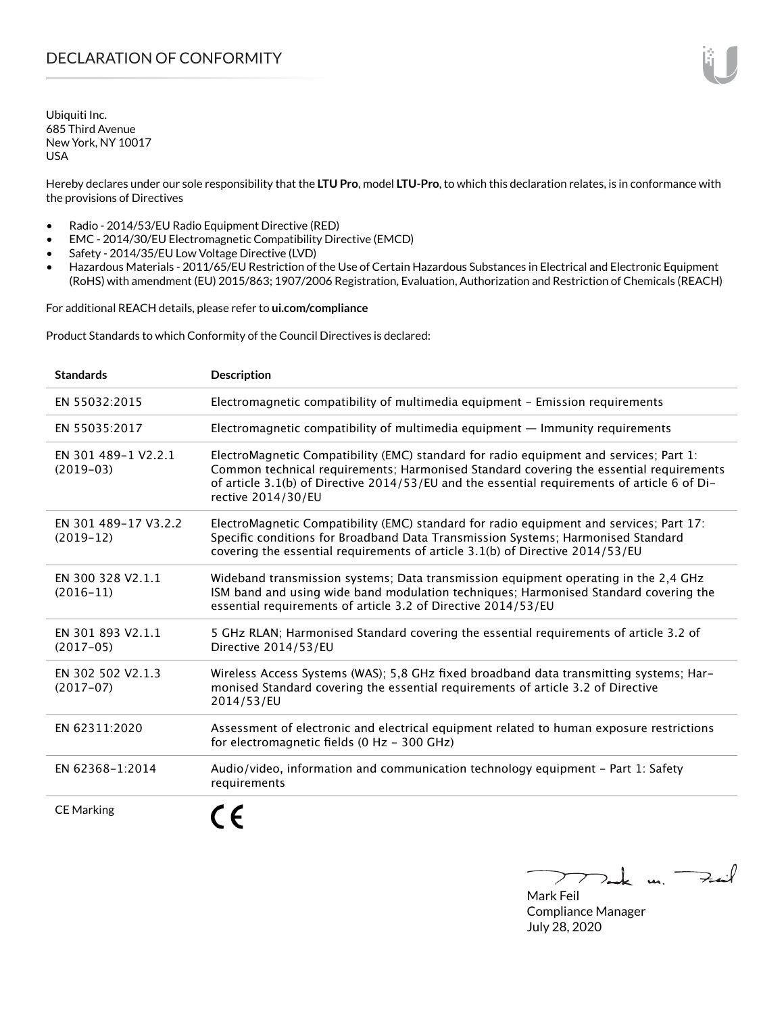Ubiquiti Inc. 685 Third Avenue New York, NY 10017 USA

Hereby declares under our sole responsibility that the **LTU Pro**, model **LTU-Pro**, to which this declaration relates, is in conformance with the provisions of Directives

- Radio 2014/53/EU Radio Equipment Directive (RED)
- EMC 2014/30/EU Electromagnetic Compatibility Directive (EMCD)
- Safety 2014/35/EU Low Voltage Directive (LVD)
- Hazardous Materials 2011/65/EU Restriction of the Use of Certain Hazardous Substances in Electrical and Electronic Equipment (RoHS) with amendment (EU) 2015/863; 1907/2006 Registration, Evaluation, Authorization and Restriction of Chemicals (REACH)

For additional REACH details, please refer to **<ui.com/compliance>**

Product Standards to which Conformity of the Council Directives is declared:

| <b>Standards</b>                    | <b>Description</b>                                                                                                                                                                                                                                                                                     |
|-------------------------------------|--------------------------------------------------------------------------------------------------------------------------------------------------------------------------------------------------------------------------------------------------------------------------------------------------------|
| EN 55032:2015                       | Electromagnetic compatibility of multimedia equipment - Emission requirements                                                                                                                                                                                                                          |
| EN 55035:2017                       | Electromagnetic compatibility of multimedia equipment — Immunity requirements                                                                                                                                                                                                                          |
| EN 301 489-1 V2.2.1<br>$(2019-03)$  | ElectroMagnetic Compatibility (EMC) standard for radio equipment and services; Part 1:<br>Common technical requirements; Harmonised Standard covering the essential requirements<br>of article 3.1(b) of Directive 2014/53/EU and the essential requirements of article 6 of Di-<br>rective 2014/30/EU |
| EN 301 489-17 V3.2.2<br>$(2019-12)$ | ElectroMagnetic Compatibility (EMC) standard for radio equipment and services; Part 17:<br>Specific conditions for Broadband Data Transmission Systems; Harmonised Standard<br>covering the essential requirements of article 3.1(b) of Directive 2014/53/EU                                           |
| EN 300 328 V2.1.1<br>$(2016 - 11)$  | Wideband transmission systems; Data transmission equipment operating in the 2,4 GHz<br>ISM band and using wide band modulation techniques; Harmonised Standard covering the<br>essential requirements of article 3.2 of Directive 2014/53/EU                                                           |
| EN 301 893 V2.1.1<br>$(2017-05)$    | 5 GHz RLAN; Harmonised Standard covering the essential requirements of article 3.2 of<br>Directive 2014/53/EU                                                                                                                                                                                          |
| EN 302 502 V2.1.3<br>$(2017-07)$    | Wireless Access Systems (WAS); 5,8 GHz fixed broadband data transmitting systems; Har-<br>monised Standard covering the essential requirements of article 3.2 of Directive<br>2014/53/EU                                                                                                               |
| EN 62311:2020                       | Assessment of electronic and electrical equipment related to human exposure restrictions<br>for electromagnetic fields (0 Hz - 300 GHz)                                                                                                                                                                |
| EN 62368-1:2014                     | Audio/video, information and communication technology equipment - Part 1: Safety<br>requirements                                                                                                                                                                                                       |
| <b>CE Marking</b>                   |                                                                                                                                                                                                                                                                                                        |

Tak m. Fail

Mark Feil Compliance Manager July 28, 2020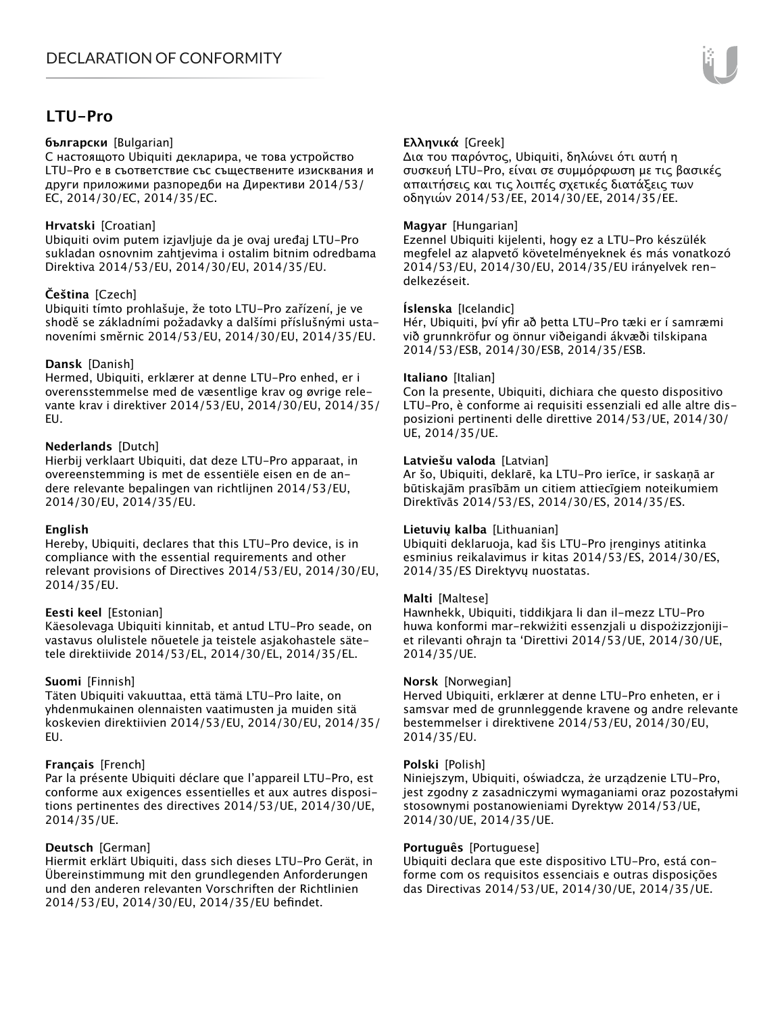# **LTU-Pro**

#### **български** [Bulgarian]

С настоящото Ubiquiti декларира, че това устройство LTU-Pro е в съответствие със съществените изисквания и други приложими разпоредби на Директиви 2014/53/ EC, 2014/30/ЕС, 2014/35/ЕС.

### **Hrvatski** [Croatian]

Ubiquiti ovim putem izjavljuje da je ovaj uređaj LTU-Pro sukladan osnovnim zahtjevima i ostalim bitnim odredbama Direktiva 2014/53/EU, 2014/30/EU, 2014/35/EU.

# **Čeština** [Czech]

Ubiquiti tímto prohlašuje, že toto LTU-Pro zařízení, je ve shodě se základními požadavky a dalšími příslušnými ustanoveními směrnic 2014/53/EU, 2014/30/EU, 2014/35/EU.

# **Dansk** [Danish]

Hermed, Ubiquiti, erklærer at denne LTU-Pro enhed, er i overensstemmelse med de væsentlige krav og øvrige relevante krav i direktiver 2014/53/EU, 2014/30/EU, 2014/35/ EU.

# **Nederlands** [Dutch]

Hierbij verklaart Ubiquiti, dat deze LTU-Pro apparaat, in overeenstemming is met de essentiële eisen en de andere relevante bepalingen van richtlijnen 2014/53/EU, 2014/30/EU, 2014/35/EU.

### **English**

Hereby, Ubiquiti, declares that this LTU-Pro device, is in compliance with the essential requirements and other relevant provisions of Directives 2014/53/EU, 2014/30/EU, 2014/35/EU.

### **Eesti keel** [Estonian]

Käesolevaga Ubiquiti kinnitab, et antud LTU-Pro seade, on vastavus olulistele nõuetele ja teistele asjakohastele sätetele direktiivide 2014/53/EL, 2014/30/EL, 2014/35/EL.

# **Suomi** [Finnish]

Täten Ubiquiti vakuuttaa, että tämä LTU-Pro laite, on yhdenmukainen olennaisten vaatimusten ja muiden sitä koskevien direktiivien 2014/53/EU, 2014/30/EU, 2014/35/ EU.

### **Français** [French]

Par la présente Ubiquiti déclare que l'appareil LTU-Pro, est conforme aux exigences essentielles et aux autres dispositions pertinentes des directives 2014/53/UE, 2014/30/UE, 2014/35/UE.

### **Deutsch** [German]

Hiermit erklärt Ubiquiti, dass sich dieses LTU-Pro Gerät, in Übereinstimmung mit den grundlegenden Anforderungen und den anderen relevanten Vorschriften der Richtlinien 2014/53/EU, 2014/30/EU, 2014/35/EU befindet.

# **Ελληνικά** [Greek]

Δια του παρόντος, Ubiquiti, δηλώνει ότι αυτή η συσκευή LTU-Pro, είναι σε συμμόρφωση με τις βασικές απαιτήσεις και τις λοιπές σχετικές διατάξεις των οδηγιών 2014/53/EE, 2014/30/EE, 2014/35/EE.

### **Magyar** [Hungarian]

Ezennel Ubiquiti kijelenti, hogy ez a LTU-Pro készülék megfelel az alapvető követelményeknek és más vonatkozó 2014/53/EU, 2014/30/EU, 2014/35/EU irányelvek rendelkezéseit.

### **Íslenska** [Icelandic]

Hér, Ubiquiti, því yfir að þetta LTU-Pro tæki er í samræmi við grunnkröfur og önnur viðeigandi ákvæði tilskipana 2014/53/ESB, 2014/30/ESB, 2014/35/ESB.

#### **Italiano** [Italian]

Con la presente, Ubiquiti, dichiara che questo dispositivo LTU-Pro, è conforme ai requisiti essenziali ed alle altre disposizioni pertinenti delle direttive 2014/53/UE, 2014/30/ UE, 2014/35/UE.

### **Latviešu valoda** [Latvian]

Ar šo, Ubiquiti, deklarē, ka LTU-Pro ierīce, ir saskaņā ar būtiskajām prasībām un citiem attiecīgiem noteikumiem Direktīvās 2014/53/ES, 2014/30/ES, 2014/35/ES.

### **Lietuvių kalba** [Lithuanian]

Ubiquiti deklaruoja, kad šis LTU-Pro įrenginys atitinka esminius reikalavimus ir kitas 2014/53/ES, 2014/30/ES, 2014/35/ES Direktyvų nuostatas.

### **Malti** [Maltese]

Hawnhekk, Ubiquiti, tiddikjara li dan il-mezz LTU-Pro huwa konformi mar-rekwiżiti essenzjali u dispożizzjonijiet rilevanti oħrajn ta 'Direttivi 2014/53/UE, 2014/30/UE, 2014/35/UE.

### **Norsk** [Norwegian]

Herved Ubiquiti, erklærer at denne LTU-Pro enheten, er i samsvar med de grunnleggende kravene og andre relevante bestemmelser i direktivene 2014/53/EU, 2014/30/EU, 2014/35/EU.

### **Polski** [Polish]

Niniejszym, Ubiquiti, oświadcza, że urządzenie LTU-Pro, jest zgodny z zasadniczymi wymaganiami oraz pozostałymi stosownymi postanowieniami Dyrektyw 2014/53/UE, 2014/30/UE, 2014/35/UE.

### **Português** [Portuguese]

Ubiquiti declara que este dispositivo LTU-Pro, está conforme com os requisitos essenciais e outras disposições das Directivas 2014/53/UE, 2014/30/UE, 2014/35/UE.